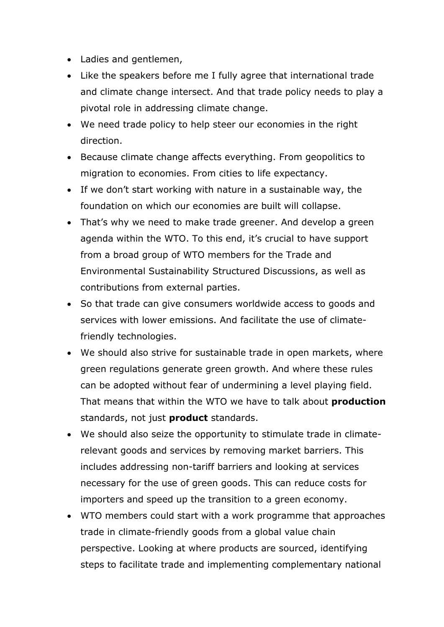- Ladies and gentlemen,
- Like the speakers before me I fully agree that international trade and climate change intersect. And that trade policy needs to play a pivotal role in addressing climate change.
- We need trade policy to help steer our economies in the right direction.
- Because climate change affects everything. From geopolitics to migration to economies. From cities to life expectancy.
- If we don't start working with nature in a sustainable way, the foundation on which our economies are built will collapse.
- That's why we need to make trade greener. And develop a green agenda within the WTO. To this end, it's crucial to have support from a broad group of WTO members for the Trade and Environmental Sustainability Structured Discussions, as well as contributions from external parties.
- So that trade can give consumers worldwide access to goods and services with lower emissions. And facilitate the use of climatefriendly technologies.
- We should also strive for sustainable trade in open markets, where green regulations generate green growth. And where these rules can be adopted without fear of undermining a level playing field. That means that within the WTO we have to talk about **production** standards, not just **product** standards.
- We should also seize the opportunity to stimulate trade in climaterelevant goods and services by removing market barriers. This includes addressing non-tariff barriers and looking at services necessary for the use of green goods. This can reduce costs for importers and speed up the transition to a green economy.
- WTO members could start with a work programme that approaches trade in climate-friendly goods from a global value chain perspective. Looking at where products are sourced, identifying steps to facilitate trade and implementing complementary national